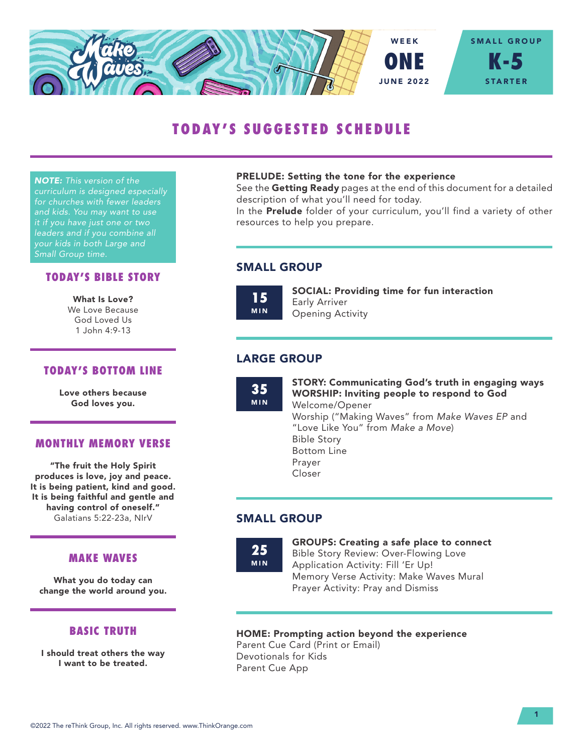

# TODAY'S SUGGESTED SCHEDULE

*NOTE: This version of the curriculum is designed especially for churches with fewer leaders and kids. You may want to use it if you have just one or two leaders and if you combine all your kids in both Large and Small Group time.*

#### TODAY'S BIBLE STORY

What Is Love? We Love Because God Loved Us 1 John 4:9-13

#### TODAY'S BOTTOM LINE

Love others because God loves you.

#### MONTHLY MEMORY VERSE

"The fruit the Holy Spirit produces is love, joy and peace. It is being patient, kind and good. It is being faithful and gentle and having control of oneself." Galatians 5:22-23a, NIrV

#### MAKE WAVES

What you do today can change the world around you.

#### BASIC TRUTH

I should treat others the way I want to be treated.

#### PRELUDE: Setting the tone for the experience

See the Getting Ready pages at the end of this document for a detailed description of what you'll need for today.

In the **Prelude** folder of your curriculum, you'll find a variety of other resources to help you prepare.

#### SMALL GROUP

15 MIN SOCIAL: Providing time for fun interaction Early Arriver Opening Activity

#### LARGE GROUP

35 MIN STORY: Communicating God's truth in engaging ways WORSHIP: Inviting people to respond to God Welcome/Opener Worship ("Making Waves" from *Make Waves EP* and "Love Like You" from *Make a Move*) Bible Story Bottom Line Prayer Closer

#### SMALL GROUP

25 MIN GROUPS: Creating a safe place to connect

Bible Story Review: Over-Flowing Love Application Activity: Fill 'Er Up! Memory Verse Activity: Make Waves Mural Prayer Activity: Pray and Dismiss

#### HOME: Prompting action beyond the experience

Parent Cue Card (Print or Email) Devotionals for Kids Parent Cue App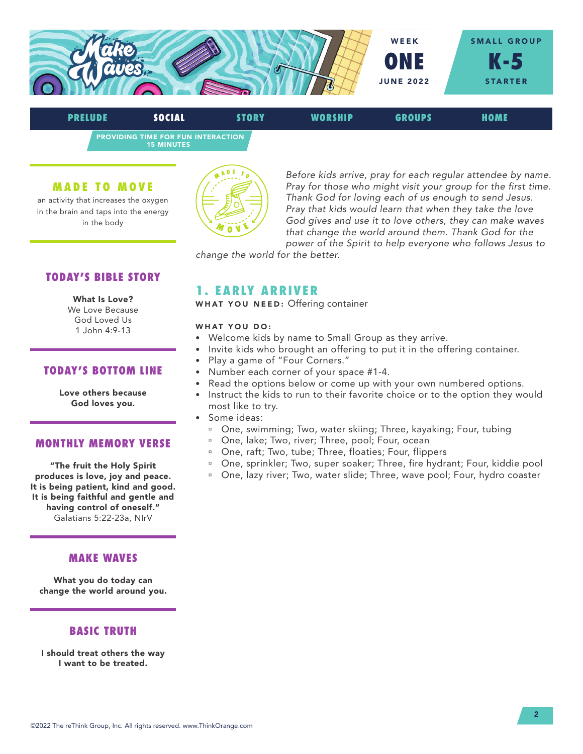

PROVIDING TIME FOR FUN INTERACTION PRELUDE SOCIAL STORY WORSHIP GROUPS HOME

15 MINUTES

#### MADE TO MOVE

an activity that increases the oxygen in the brain and taps into the energy in the body



*Before kids arrive, pray for each regular attendee by name. Pray for those who might visit your group for the first time. Thank God for loving each of us enough to send Jesus. Pray that kids would learn that when they take the love God gives and use it to love others, they can make waves that change the world around them. Thank God for the power of the Spirit to help everyone who follows Jesus to* 

*change the world for the better.*

#### TODAY'S BIBLE STORY

#### What Is Love?

We Love Because God Loved Us 1 John 4:9-13

#### TODAY'S BOTTOM LINE

Love others because God loves you.

#### MONTHLY MEMORY VERSE

"The fruit the Holy Spirit produces is love, joy and peace. It is being patient, kind and good. It is being faithful and gentle and having control of oneself." Galatians 5:22-23a, NIrV

#### MAKE WAVES

What you do today can change the world around you.

#### BASIC TRUTH

I should treat others the way I want to be treated.

# 1. EARLY ARRIVER

WHAT YOU NEED: Offering container

#### WHAT YOU DO:

- Welcome kids by name to Small Group as they arrive.
- Invite kids who brought an offering to put it in the offering container.
- Play a game of "Four Corners."
- Number each corner of your space #1-4.
- Read the options below or come up with your own numbered options.
- Instruct the kids to run to their favorite choice or to the option they would most like to try.
- Some ideas:
	- <sup>n</sup> One, swimming; Two, water skiing; Three, kayaking; Four, tubing
	- <sup>□</sup> One, lake; Two, river; Three, pool; Four, ocean
	- <sup>□</sup> One, raft; Two, tube; Three, floaties; Four, flippers
	- <sup>n</sup> One, sprinkler; Two, super soaker; Three, fire hydrant; Four, kiddie pool
	- <sup>n</sup> One, lazy river; Two, water slide; Three, wave pool; Four, hydro coaster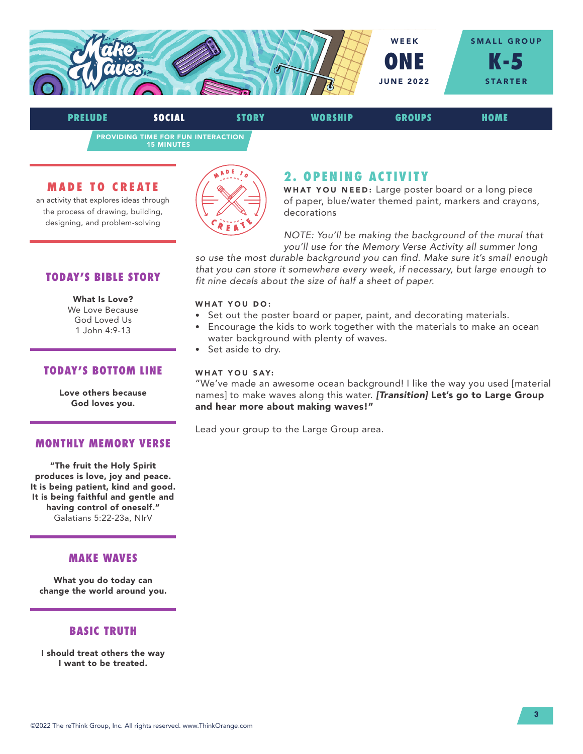

PRELUDE SOCIAL STORY WORSHIP GROUPS HOME

PROVIDING TIME FOR FUN INTERACTION 15 MINUTES

#### MADE TO CREATE

an activity that explores ideas through the process of drawing, building, designing, and problem-solving



# 2. OPENING ACTIVITY

WHAT YOU NEED: Large poster board or a long piece of paper, blue/water themed paint, markers and crayons, decorations

*NOTE: You'll be making the background of the mural that you'll use for the Memory Verse Activity all summer long* 

*so use the most durable background you can find. Make sure it's small enough that you can store it somewhere every week, if necessary, but large enough to fit nine decals about the size of half a sheet of paper.*

#### WHAT YOU DO:

- Set out the poster board or paper, paint, and decorating materials.
- Encourage the kids to work together with the materials to make an ocean water background with plenty of waves.
- Set aside to dry.

#### WHAT YOU SAY:

"We've made an awesome ocean background! I like the way you used [material names] to make waves along this water. *[Transition]* Let's go to Large Group and hear more about making waves!"

Lead your group to the Large Group area.

# TODAY'S BIBLE STORY

#### What Is Love?

We Love Because God Loved Us 1 John 4:9-13

#### TODAY'S BOTTOM LINE

Love others because God loves you.

#### MONTHLY MEMORY VERSE

"The fruit the Holy Spirit produces is love, joy and peace. It is being patient, kind and good. It is being faithful and gentle and having control of oneself." Galatians 5:22-23a, NIrV

#### MAKE WAVES

What you do today can change the world around you.

## BASIC TRUTH

I should treat others the way I want to be treated.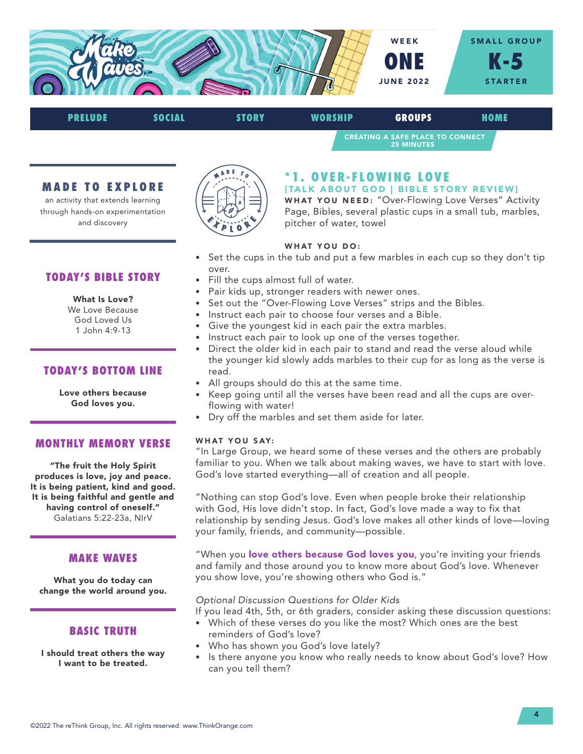

## CREATING A SAFE PLACE TO CONNECT 25 MINUTES PRELUDE SOCIAL STORY WORSHIP GROUPS HOME

#### MADE TO EXPLORE

an activity that extends learning through hands-on experimentation and discovery



# \*1. OVER-FLOWING LOVE

[TALK ABOUT GOD | BIBLE STORY REVIEW] WHAT YOU NEED: "Over-Flowing Love Verses" Activity Page, Bibles, several plastic cups in a small tub, marbles, pitcher of water, towel

#### WHAT YOU DO:

- Set the cups in the tub and put a few marbles in each cup so they don't tip over.
- Fill the cups almost full of water.
- Pair kids up, stronger readers with newer ones.
- Set out the "Over-Flowing Love Verses" strips and the Bibles.
- Instruct each pair to choose four verses and a Bible.
- Give the youngest kid in each pair the extra marbles.
- Instruct each pair to look up one of the verses together.
- Direct the older kid in each pair to stand and read the verse aloud while the younger kid slowly adds marbles to their cup for as long as the verse is read.
- All groups should do this at the same time.
- Keep going until all the verses have been read and all the cups are overflowing with water!
- Dry off the marbles and set them aside for later.

#### WHAT YOU SAY:

"In Large Group, we heard some of these verses and the others are probably familiar to you. When we talk about making waves, we have to start with love. God's love started everything—all of creation and all people.

"Nothing can stop God's love. Even when people broke their relationship with God, His love didn't stop. In fact, God's love made a way to fix that relationship by sending Jesus. God's love makes all other kinds of love—loving your family, friends, and community—possible.

"When you love others because God loves you, you're inviting your friends and family and those around you to know more about God's love. Whenever you show love, you're showing others who God is."

#### *Optional Discussion Questions for Older Kids*

If you lead 4th, 5th, or 6th graders, consider asking these discussion questions:

- Which of these verses do you like the most? Which ones are the best reminders of God's love?
- Who has shown you God's love lately?
- Is there anyone you know who really needs to know about God's love? How can you tell them?

# TODAY'S BIBLE STORY

#### What Is Love?

We Love Because God Loved Us 1 John 4:9-13

#### TODAY'S BOTTOM LINE

Love others because God loves you.

#### MONTHLY MEMORY VERSE

"The fruit the Holy Spirit produces is love, joy and peace. It is being patient, kind and good. It is being faithful and gentle and having control of oneself." Galatians 5:22-23a, NIrV

#### MAKE WAVES

What you do today can change the world around you.

## BASIC TRUTH

I should treat others the way I want to be treated.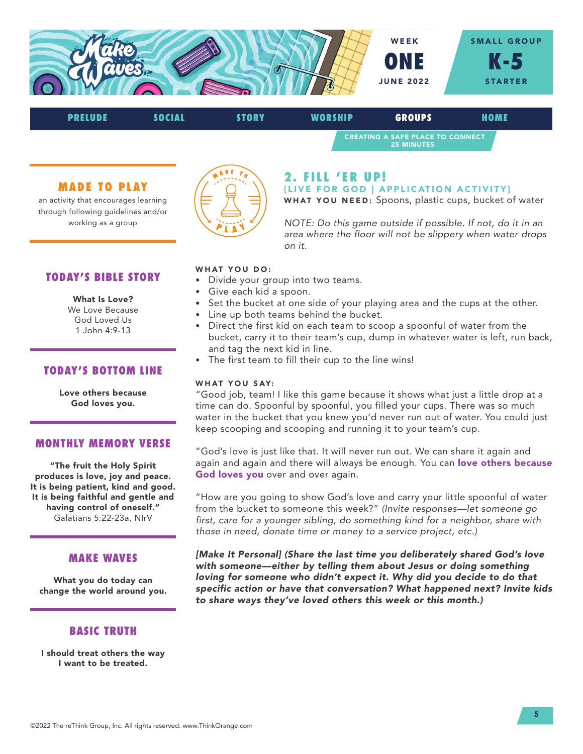



#### MADE TO PLAY

an activity that encourages learning through following guidelines and/or working as a group



#### 2. FILL 'ER UP! [LIVE FOR GOD | APPLICATION ACTIVITY]

WHAT YOU NEED: Spoons, plastic cups, bucket of water

*NOTE: Do this game outside if possible. If not, do it in an area where the floor will not be slippery when water drops on it.*

#### TODAY'S BIBLE STORY

#### What Is Love?

We Love Because God Loved Us 1 John 4:9-13

#### TODAY'S BOTTOM LINE

Love others because God loves you.

#### MONTHLY MEMORY VERSE

"The fruit the Holy Spirit produces is love, joy and peace. It is being patient, kind and good. It is being faithful and gentle and having control of oneself." Galatians 5:22-23a, NIrV

#### MAKE WAVES

What you do today can change the world around you.

#### BASIC TRUTH

I should treat others the way I want to be treated.

#### WHAT YOU DO:

- Divide your group into two teams.
- Give each kid a spoon.
- Set the bucket at one side of your playing area and the cups at the other.
- Line up both teams behind the bucket.
- Direct the first kid on each team to scoop a spoonful of water from the bucket, carry it to their team's cup, dump in whatever water is left, run back, and tag the next kid in line.
- The first team to fill their cup to the line wins!

#### WHAT YOU SAY:

"Good job, team! I like this game because it shows what just a little drop at a time can do. Spoonful by spoonful, you filled your cups. There was so much water in the bucket that you knew you'd never run out of water. You could just keep scooping and scooping and running it to your team's cup.

"God's love is just like that. It will never run out. We can share it again and again and again and there will always be enough. You can love others because God loves you over and over again.

"How are you going to show God's love and carry your little spoonful of water from the bucket to someone this week?" *(Invite responses—let someone go first, care for a younger sibling, do something kind for a neighbor, share with those in need, donate time or money to a service project, etc.)* 

*[Make It Personal] (Share the last time you deliberately shared God's love with someone—either by telling them about Jesus or doing something loving for someone who didn't expect it. Why did you decide to do that specific action or have that conversation? What happened next? Invite kids to share ways they've loved others this week or this month.)*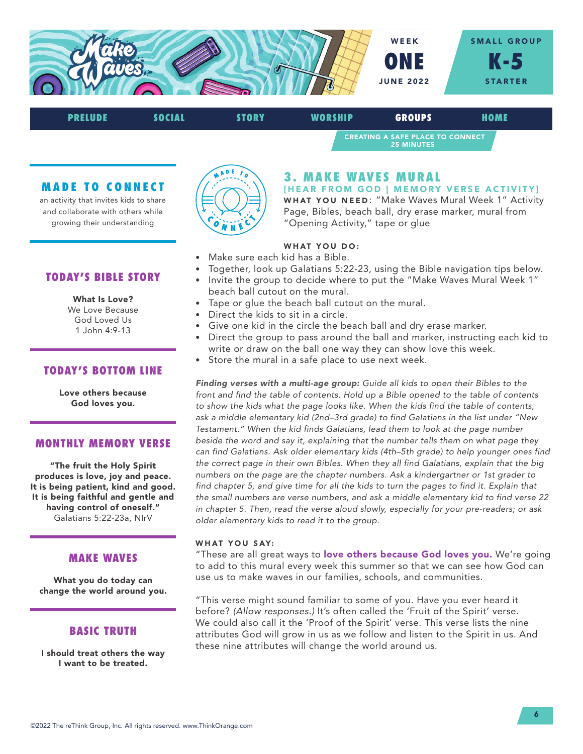

CREATING A SAFE PLACE TO CONNECT 25 MINUTES PRELUDE SOCIAL STORY WORSHIP GROUPS HOME

#### MADE TO CONNECT

an activity that invites kids to share and collaborate with others while growing their understanding



# 3. MAKE WAVES MURAL

[HEAR FROM GOD | MEMORY VERSE ACTIVITY] WHAT YOU NEED: "Make Waves Mural Week 1" Activity Page, Bibles, beach ball, dry erase marker, mural from "Opening Activity," tape or glue

#### WHAT YOU DO:

- Make sure each kid has a Bible.
- Together, look up Galatians 5:22-23, using the Bible navigation tips below.
- Invite the group to decide where to put the "Make Waves Mural Week 1" beach ball cutout on the mural.
- Tape or glue the beach ball cutout on the mural.
- Direct the kids to sit in a circle.
- Give one kid in the circle the beach ball and dry erase marker.
- Direct the group to pass around the ball and marker, instructing each kid to write or draw on the ball one way they can show love this week.
- Store the mural in a safe place to use next week.

*Finding verses with a multi-age group: Guide all kids to open their Bibles to the front and find the table of contents. Hold up a Bible opened to the table of contents to show the kids what the page looks like. When the kids find the table of contents, ask a middle elementary kid (2nd–3rd grade) to find Galatians in the list under "New Testament." When the kid finds Galatians, lead them to look at the page number*  beside the word and say it, explaining that the number tells them on what page they *can find Galatians. Ask older elementary kids (4th–5th grade) to help younger ones find the correct page in their own Bibles. When they all find Galatians, explain that the big numbers on the page are the chapter numbers. Ask a kindergartner or 1st grader to find chapter 5, and give time for all the kids to turn the pages to find it. Explain that the small numbers are verse numbers, and ask a middle elementary kid to find verse 22 in chapter 5. Then, read the verse aloud slowly, especially for your pre-readers; or ask older elementary kids to read it to the group.*

#### WHAT YOU SAY:

"These are all great ways to love others because God loves you. We're going to add to this mural every week this summer so that we can see how God can use us to make waves in our families, schools, and communities.

"This verse might sound familiar to some of you. Have you ever heard it before? *(Allow responses.)* It's often called the 'Fruit of the Spirit' verse. We could also call it the 'Proof of the Spirit' verse. This verse lists the nine attributes God will grow in us as we follow and listen to the Spirit in us. And these nine attributes will change the world around us.

TODAY'S BIBLE STORY

#### What Is Love?

We Love Because God Loved Us 1 John 4:9-13

#### TODAY'S BOTTOM LINE

Love others because God loves you.

#### MONTHLY MEMORY VERSE

"The fruit the Holy Spirit produces is love, joy and peace. It is being patient, kind and good. It is being faithful and gentle and having control of oneself." Galatians 5:22-23a, NIrV

#### MAKE WAVES

What you do today can change the world around you.

#### BASIC TRUTH

I should treat others the way I want to be treated.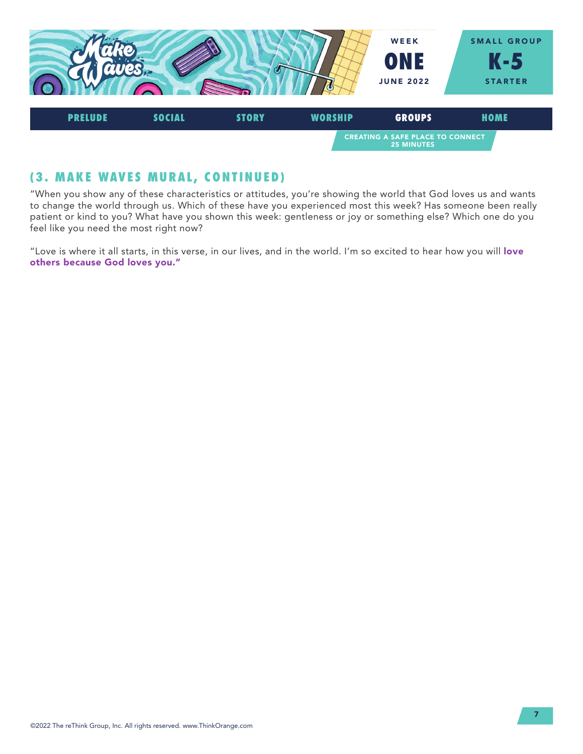

# (3. MAKE WAVES MURAL, CONTINUED)

"When you show any of these characteristics or attitudes, you're showing the world that God loves us and wants to change the world through us. Which of these have you experienced most this week? Has someone been really patient or kind to you? What have you shown this week: gentleness or joy or something else? Which one do you feel like you need the most right now?

"Love is where it all starts, in this verse, in our lives, and in the world. I'm so excited to hear how you will love others because God loves you."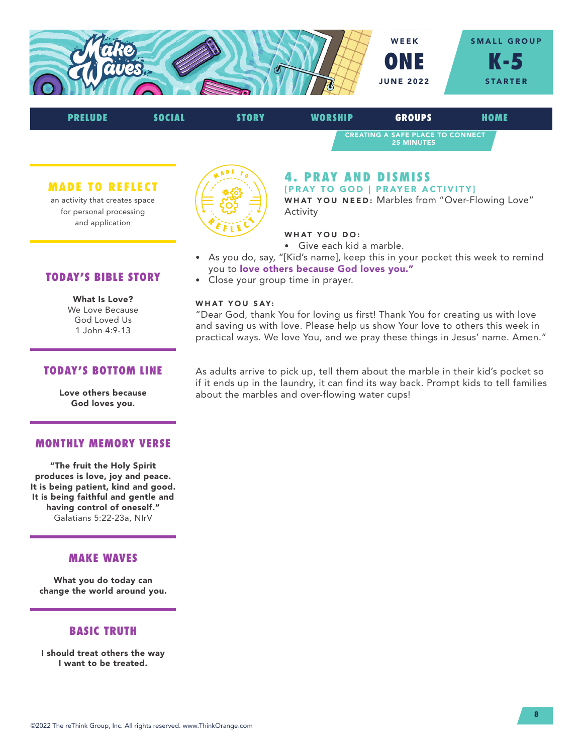



#### MADE TO REFLECT

an activity that creates space for personal processing and application



#### 4. PRAY AND DISMISS [PRAY TO GOD | PRAYER ACTIVITY]

WHAT YOU NEED: Marbles from "Over-Flowing Love" Activity

#### WHAT YOU DO:

- Give each kid a marble.
- As you do, say, "[Kid's name], keep this in your pocket this week to remind you to love others because God loves you."
- Close your group time in prayer.

#### WHAT YOU SAY:

"Dear God, thank You for loving us first! Thank You for creating us with love and saving us with love. Please help us show Your love to others this week in practical ways. We love You, and we pray these things in Jesus' name. Amen."

# TODAY'S BIBLE STORY

What Is Love? We Love Because God Loved Us 1 John 4:9-13

#### TODAY'S BOTTOM LINE

Love others because God loves you.

#### MONTHLY MEMORY VERSE

"The fruit the Holy Spirit produces is love, joy and peace. It is being patient, kind and good. It is being faithful and gentle and having control of oneself." Galatians 5:22-23a, NIrV

#### MAKE WAVES

What you do today can change the world around you.

#### BASIC TRUTH

I should treat others the way I want to be treated.

As adults arrive to pick up, tell them about the marble in their kid's pocket so if it ends up in the laundry, it can find its way back. Prompt kids to tell families about the marbles and over-flowing water cups!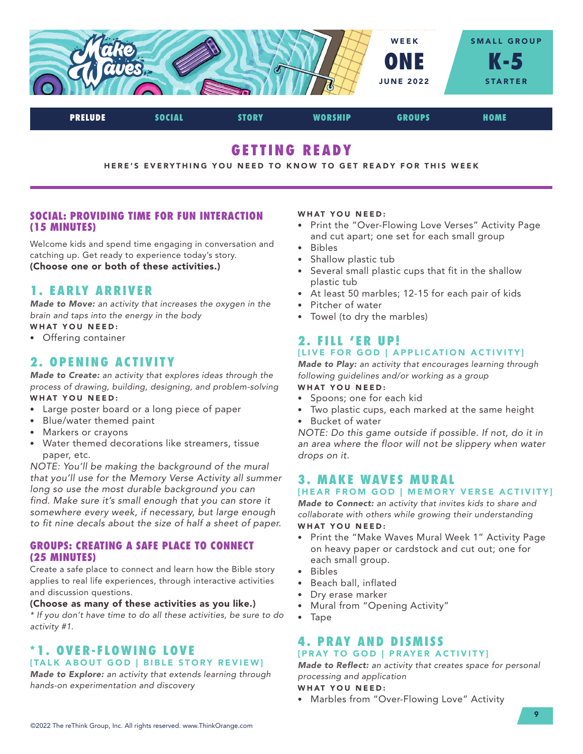

PRELUDE SOCIAL STORY WORSHIP GROUPS HOME

# GETTING READY

#### HERE'S EVERYTHING YOU NEED TO KNOW TO GET READY FOR THIS WEEK

#### SOCIAL: PROVIDING TIME FOR FUN INTERACTION (15 MINUTES)

Welcome kids and spend time engaging in conversation and catching up. Get ready to experience today's story. (Choose one or both of these activities.)

# 1. EARLY ARRIVER

*Made to Move: an activity that increases the oxygen in the brain and taps into the energy in the body*

- WHAT YOU NEED:
- Offering container

# 2. OPENING ACTIVITY

*Made to Create: an activity that explores ideas through the process of drawing, building, designing, and problem-solving* WHAT YOU NEED:

- Large poster board or a long piece of paper
- Blue/water themed paint
- Markers or crayons
- Water themed decorations like streamers, tissue paper, etc.

*NOTE: You'll be making the background of the mural that you'll use for the Memory Verse Activity all summer long so use the most durable background you can find. Make sure it's small enough that you can store it somewhere every week, if necessary, but large enough to fit nine decals about the size of half a sheet of paper.*

#### GROUPS: CREATING A SAFE PLACE TO CONNECT (25 MINUTES)

Create a safe place to connect and learn how the Bible story applies to real life experiences, through interactive activities and discussion questions.

#### (Choose as many of these activities as you like.)

*\* If you don't have time to do all these activities, be sure to do activity #1.*

## \*1. OVER-FLOWING LOVE [TALK ABOUT GOD | BIBLE STORY REVIEW]

*Made to Explore: an activity that extends learning through hands-on experimentation and discovery*

#### WHAT YOU NEED:

- Print the "Over-Flowing Love Verses" Activity Page and cut apart; one set for each small group
- Bibles
- Shallow plastic tub
- Several small plastic cups that fit in the shallow plastic tub
- At least 50 marbles; 12-15 for each pair of kids
- Pitcher of water
- Towel (to dry the marbles)

#### 2. FILL 'ER UP! [LIVE FOR GOD | APPLICATION ACTIVITY]

*Made to Play: an activity that encourages learning through following guidelines and/or working as a group*

# WHAT YOU NEED:

- Spoons; one for each kid
- Two plastic cups, each marked at the same height
- Bucket of water

*NOTE: Do this game outside if possible. If not, do it in an area where the floor will not be slippery when water drops on it.*

# 3. MAKE WAVES MURAL

#### [HEAR FROM GOD | MEMORY VERSE ACTIVITY]

*Made to Connect: an activity that invites kids to share and collaborate with others while growing their understanding* WHAT YOU NEED:

- Print the "Make Waves Mural Week 1" Activity Page on heavy paper or cardstock and cut out; one for each small group.
- Bibles
- Beach ball, inflated
- Dry erase marker
- Mural from "Opening Activity"
- Tape

#### 4. PRAY AND DISMISS [PRAY TO GOD | PRAYER ACTIVITY]

*Made to Reflect: an activity that creates space for personal processing and application*

#### WHAT YOU NEED:

• Marbles from "Over-Flowing Love" Activity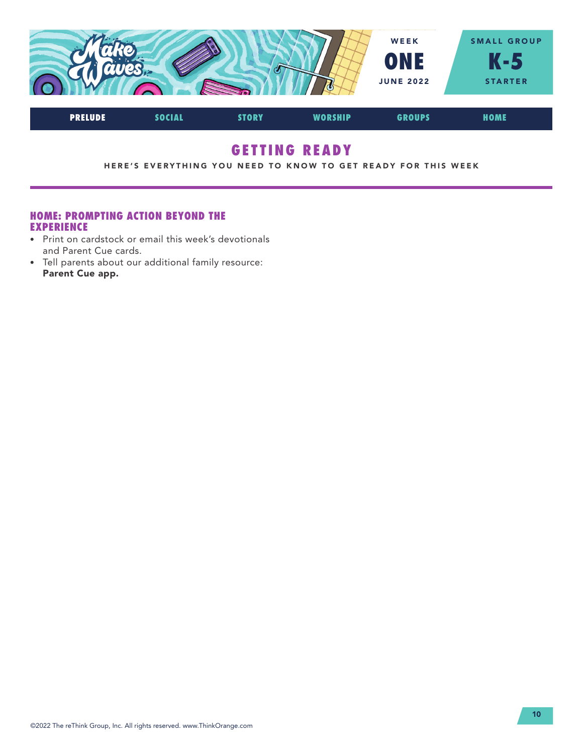

# GETTING READY

HERE'S EVERYTHING YOU NEED TO KNOW TO GET READY FOR THIS WEEK

#### HOME: PROMPTING ACTION BEYOND THE EXPERIENCE

- Print on cardstock or email this week's devotionals and Parent Cue cards.
- Tell parents about our additional family resource: Parent Cue app.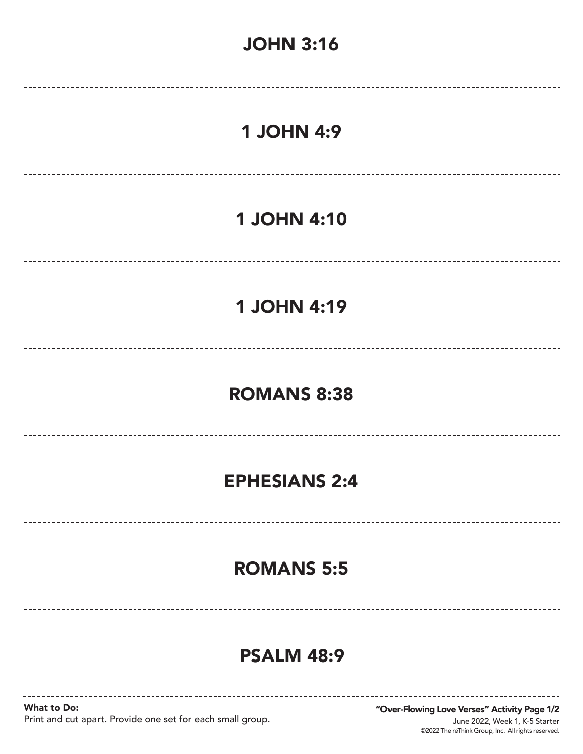

# PSALM 48:9

What to Do: Print and cut apart. Provide one set for each small group.

©2022 The reThink Group, Inc. All rights reserved. June 2022, Week 1, K-5 Starter "Over-Flowing Love Verses" Activity Page 1/2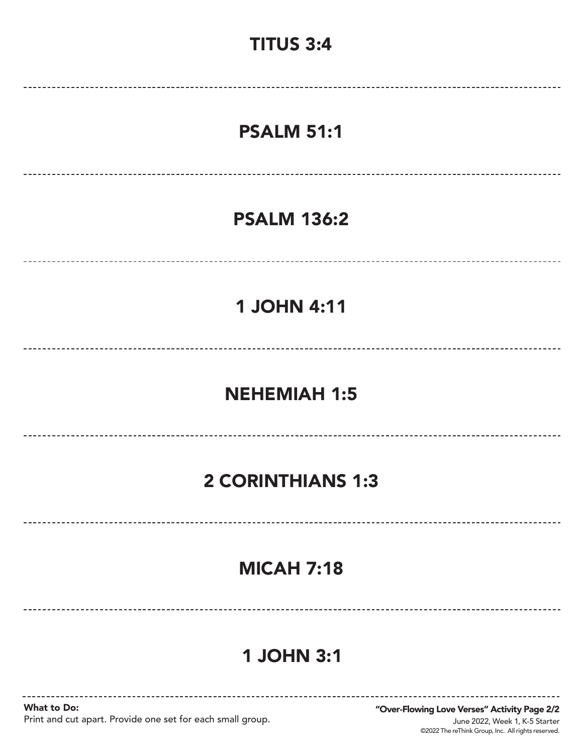# TITUS 3:4 PSALM 51:1 PSALM 136:2 1 JOHN 4:11 NEHEMIAH 1:5 --------------------------2 CORINTHIANS 1:3

# MICAH 7:18

# 1 JOHN 3:1

What to Do: Print and cut apart. Provide one set for each small group.

©2022 The reThink Group, Inc. All rights reserved. June 2022, Week 1, K-5 Starter "Over-Flowing Love Verses" Activity Page 2/2